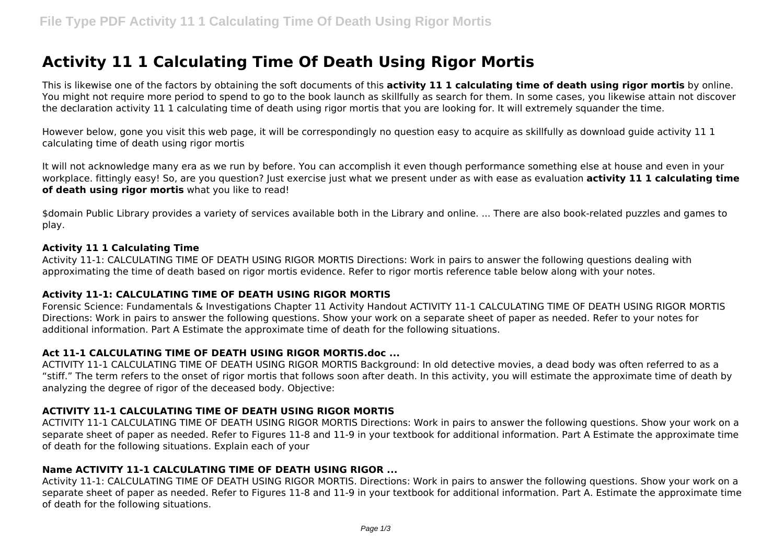# **Activity 11 1 Calculating Time Of Death Using Rigor Mortis**

This is likewise one of the factors by obtaining the soft documents of this **activity 11 1 calculating time of death using rigor mortis** by online. You might not require more period to spend to go to the book launch as skillfully as search for them. In some cases, you likewise attain not discover the declaration activity 11 1 calculating time of death using rigor mortis that you are looking for. It will extremely squander the time.

However below, gone you visit this web page, it will be correspondingly no question easy to acquire as skillfully as download guide activity 11 1 calculating time of death using rigor mortis

It will not acknowledge many era as we run by before. You can accomplish it even though performance something else at house and even in your workplace. fittingly easy! So, are you question? Just exercise just what we present under as with ease as evaluation **activity 11 1 calculating time of death using rigor mortis** what you like to read!

\$domain Public Library provides a variety of services available both in the Library and online. ... There are also book-related puzzles and games to play.

#### **Activity 11 1 Calculating Time**

Activity 11-1: CALCULATING TIME OF DEATH USING RIGOR MORTIS Directions: Work in pairs to answer the following questions dealing with approximating the time of death based on rigor mortis evidence. Refer to rigor mortis reference table below along with your notes.

#### **Activity 11-1: CALCULATING TIME OF DEATH USING RIGOR MORTIS**

Forensic Science: Fundamentals & Investigations Chapter 11 Activity Handout ACTIVITY 11-1 CALCULATING TIME OF DEATH USING RIGOR MORTIS Directions: Work in pairs to answer the following questions. Show your work on a separate sheet of paper as needed. Refer to your notes for additional information. Part A Estimate the approximate time of death for the following situations.

## **Act 11-1 CALCULATING TIME OF DEATH USING RIGOR MORTIS.doc ...**

ACTIVITY 11-1 CALCULATING TIME OF DEATH USING RIGOR MORTIS Background: In old detective movies, a dead body was often referred to as a "stiff." The term refers to the onset of rigor mortis that follows soon after death. In this activity, you will estimate the approximate time of death by analyzing the degree of rigor of the deceased body. Objective:

## **ACTIVITY 11-1 CALCULATING TIME OF DEATH USING RIGOR MORTIS**

ACTIVITY 11-1 CALCULATING TIME OF DEATH USING RIGOR MORTIS Directions: Work in pairs to answer the following questions. Show your work on a separate sheet of paper as needed. Refer to Figures 11-8 and 11-9 in your textbook for additional information. Part A Estimate the approximate time of death for the following situations. Explain each of your

#### **Name ACTIVITY 11-1 CALCULATING TIME OF DEATH USING RIGOR ...**

Activity 11-1: CALCULATING TIME OF DEATH USING RIGOR MORTIS. Directions: Work in pairs to answer the following questions. Show your work on a separate sheet of paper as needed. Refer to Figures 11-8 and 11-9 in your textbook for additional information. Part A. Estimate the approximate time of death for the following situations.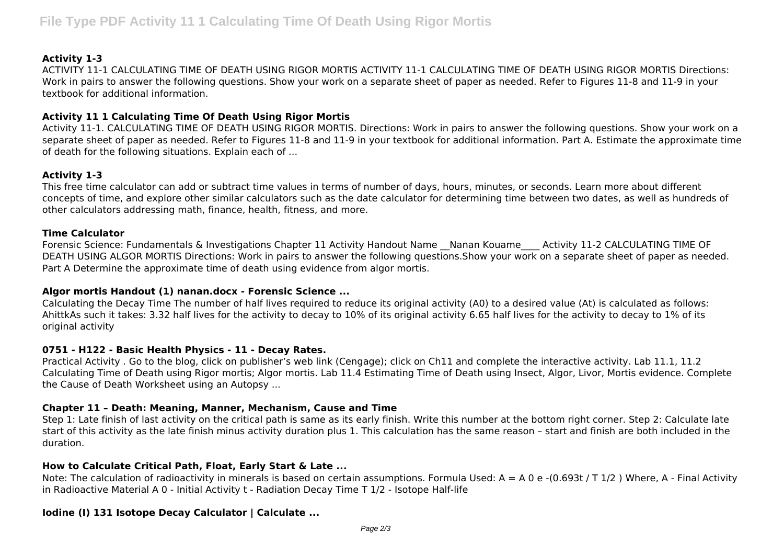# **Activity 1-3**

ACTIVITY 11-1 CALCULATING TIME OF DEATH USING RIGOR MORTIS ACTIVITY 11-1 CALCULATING TIME OF DEATH USING RIGOR MORTIS Directions: Work in pairs to answer the following questions. Show your work on a separate sheet of paper as needed. Refer to Figures 11-8 and 11-9 in your textbook for additional information.

# **Activity 11 1 Calculating Time Of Death Using Rigor Mortis**

Activity 11-1. CALCULATING TIME OF DEATH USING RIGOR MORTIS. Directions: Work in pairs to answer the following questions. Show your work on a separate sheet of paper as needed. Refer to Figures 11-8 and 11-9 in your textbook for additional information. Part A. Estimate the approximate time of death for the following situations. Explain each of ...

# **Activity 1-3**

This free time calculator can add or subtract time values in terms of number of days, hours, minutes, or seconds. Learn more about different concepts of time, and explore other similar calculators such as the date calculator for determining time between two dates, as well as hundreds of other calculators addressing math, finance, health, fitness, and more.

#### **Time Calculator**

Forensic Science: Fundamentals & Investigations Chapter 11 Activity Handout Name \_\_Nanan Kouame \_\_\_ Activity 11-2 CALCULATING TIME OF DEATH USING ALGOR MORTIS Directions: Work in pairs to answer the following questions.Show your work on a separate sheet of paper as needed. Part A Determine the approximate time of death using evidence from algor mortis.

## **Algor mortis Handout (1) nanan.docx - Forensic Science ...**

Calculating the Decay Time The number of half lives required to reduce its original activity (A0) to a desired value (At) is calculated as follows: AhittkAs such it takes: 3.32 half lives for the activity to decay to 10% of its original activity 6.65 half lives for the activity to decay to 1% of its original activity

## **0751 - H122 - Basic Health Physics - 11 - Decay Rates.**

Practical Activity . Go to the blog, click on publisher's web link (Cengage); click on Ch11 and complete the interactive activity. Lab 11.1, 11.2 Calculating Time of Death using Rigor mortis; Algor mortis. Lab 11.4 Estimating Time of Death using Insect, Algor, Livor, Mortis evidence. Complete the Cause of Death Worksheet using an Autopsy ...

## **Chapter 11 – Death: Meaning, Manner, Mechanism, Cause and Time**

Step 1: Late finish of last activity on the critical path is same as its early finish. Write this number at the bottom right corner. Step 2: Calculate late start of this activity as the late finish minus activity duration plus 1. This calculation has the same reason – start and finish are both included in the duration.

## **How to Calculate Critical Path, Float, Early Start & Late ...**

Note: The calculation of radioactivity in minerals is based on certain assumptions. Formula Used:  $A = A \cdot 0 e$  -(0.693t / T 1/2) Where, A - Final Activity in Radioactive Material A 0 - Initial Activity t - Radiation Decay Time T 1/2 - Isotope Half-life

## **Iodine (I) 131 Isotope Decay Calculator | Calculate ...**